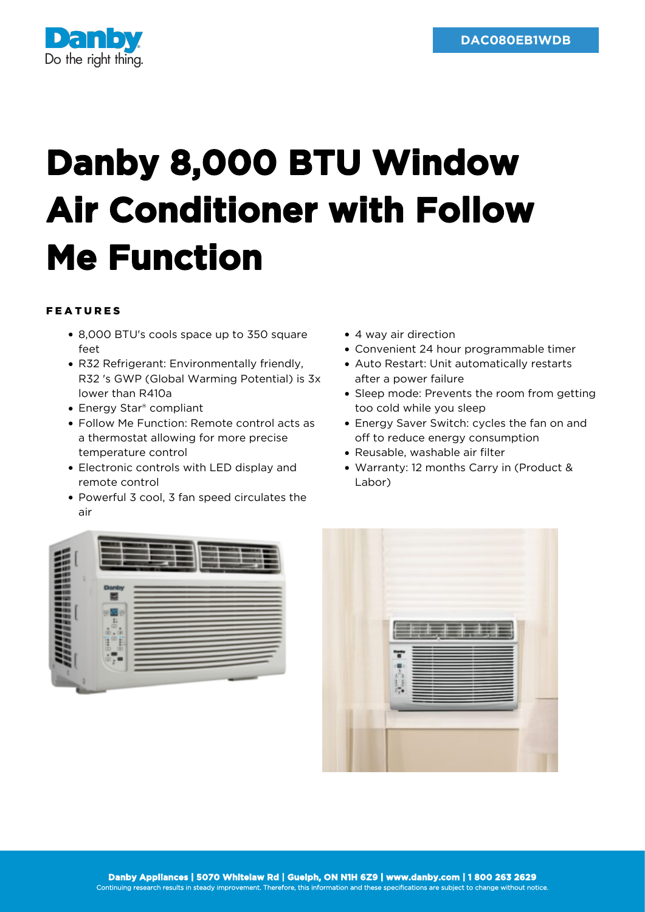

## **Danby 8,000 BTU Window Air Conditioner with Follow Me Function**

## FEATURES

- 8,000 BTU's cools space up to 350 square feet
- R32 Refrigerant: Environmentally friendly, R32 's GWP (Global Warming Potential) is 3x lower than R410a
- Energy Star® compliant
- Follow Me Function: Remote control acts as a thermostat allowing for more precise temperature control
- Electronic controls with LED display and remote control
- Powerful 3 cool, 3 fan speed circulates the air
- 4 way air direction
- Convenient 24 hour programmable timer
- Auto Restart: Unit automatically restarts after a power failure
- Sleep mode: Prevents the room from getting too cold while you sleep
- Energy Saver Switch: cycles the fan on and off to reduce energy consumption
- Reusable, washable air filter
- Warranty: 12 months Carry in (Product & Labor)